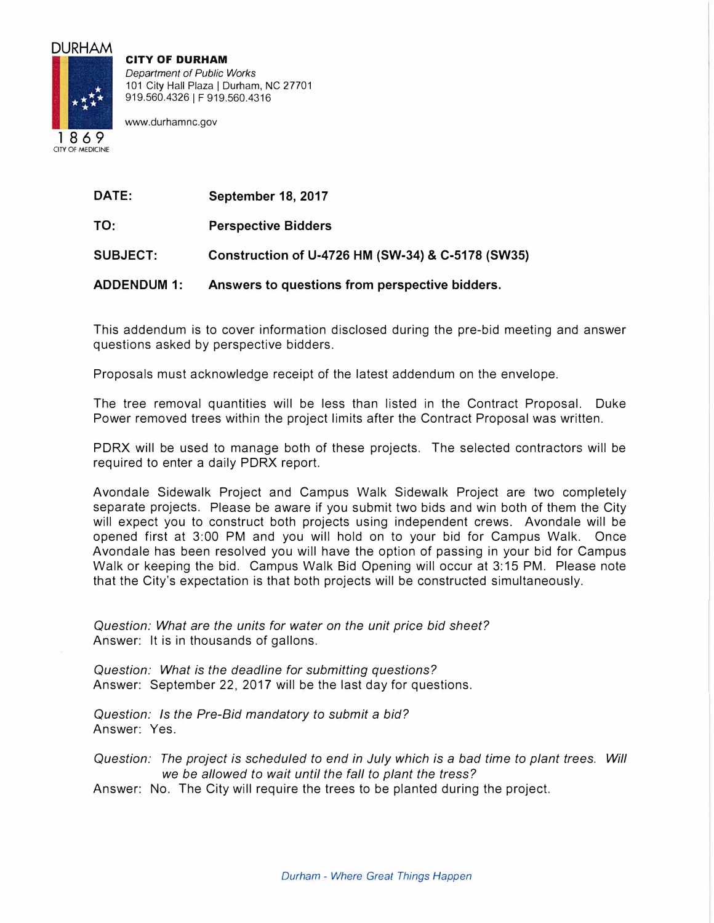## DURHAM

**CITY OF DURHAM**  *Department of Public Works*  101 City Hall Plaza | Durham, NC 27701 919.560.4326 | F 919.560.4316

www.durhamnc.gov

1869 CITY OF MEDICINE

| <b>DATE:</b> | September 18, 2017 |  |
|--------------|--------------------|--|
|              |                    |  |

**TO: Perspective Bidders** 

**SUBJECT: Construction of U-4726 HM (SW-34) & C-5178 (SW35)** 

**ADDENDUM 1: Answers to questions from perspective bidders.** 

This addendum is to cover information disclosed during the pre-bid meeting and answer questions asked by perspective bidders.

Proposals must acknowledge receipt of the latest addendum on the envelope.

The tree removal quantities will be less than listed in the Contract Proposal. Duke Power removed trees within the project limits after the Contract Proposal was written.

PDRX will be used to manage both of these projects. The selected contractors will be required to enter a daily PDRX report.

Avondale Sidewalk Project and Campus Walk Sidewalk Project are two completely separate projects. Please be aware if you submit two bids and win both of them the City will expect you to construct both projects using independent crews. Avondale will be opened first at 3:00 PM and you will hold on to your bid for Campus Walk. Once Avondale has been resolved you will have the option of passing in your bid for Campus Walk or keeping the bid. Campus Walk Bid Opening will occur at 3:15 PM. Please note that the City's expectation is that both projects will be constructed simultaneously.

*Question: What are the units for water on the unit price bid sheet?*  Answer: It is in thousands of gallons.

*Question: What is the deadline for submitting questions?*  Answer: September 22, 2017 will be the last day for questions.

*Question: Is the Pre-Bid mandatory to submit a bid?*  Answer: Yes.

*Question: The project is scheduled to end in July which is a bad time to plant trees. Will we be allowed to wait until the fall to plant the tress?* 

Answer: No. The City will require the trees to be planted during the project.